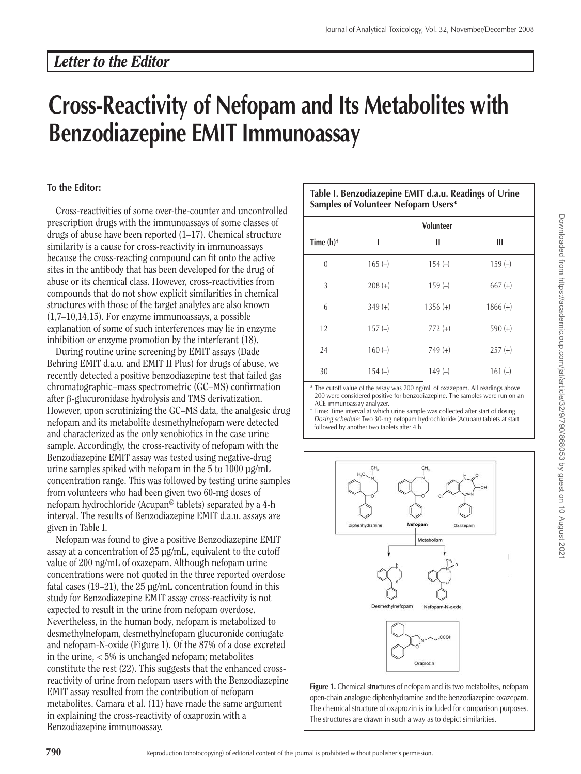## **Cross-Reactivity of Nefopam and Its Metabolites with Benzodiazepine EMIT Immunoassay**

## **To the Editor:**

Cross-reactivities of some over-the-counter and uncontrolled prescription drugs with the immunoassays of some classes of drugs of abuse have been reported (1–17). Chemical structure similarity is a cause for cross-reactivity in immunoassays because the cross-reacting compound can fit onto the active sites in the antibody that has been developed for the drug of abuse or its chemical class. However, cross-reactivities from compounds that do not show explicit similarities in chemical structures with those of the target analytes are also known (1,7–10,14,15). For enzyme immunoassays, a possible explanation of some of such interferences may lie in enzyme inhibition or enzyme promotion by the interferant (18).

During routine urine screening by EMIT assays (Dade Behring EMIT d.a.u. and EMIT II Plus) for drugs of abuse, we recently detected a positive benzodiazepine test that failed gas chromatographic–mass spectrometric (GC–MS) confirmation after β-glucuronidase hydrolysis and TMS derivatization. However, upon scrutinizing the GC–MS data, the analgesic drug nefopam and its metabolite desmethylnefopam were detected and characterized as the only xenobiotics in the case urine sample. Accordingly, the cross-reactivity of nefopam with the Benzodiazepine EMIT assay was tested using negative-drug urine samples spiked with nefopam in the 5 to 1000 µg/mL concentration range. This was followed by testing urine samples from volunteers who had been given two 60-mg doses of nefopam hydrochloride (Acupan® tablets) separated by a 4-h interval. The results of Benzodiazepine EMIT d.a.u. assays are given in Table I.

Nefopam was found to give a positive Benzodiazepine EMIT assay at a concentration of 25 µg/mL, equivalent to the cutoff value of 200 ng/mL of oxazepam. Although nefopam urine concentrations were not quoted in the three reported overdose fatal cases (19–21), the  $25 \mu$ g/mL concentration found in this study for Benzodiazepine EMIT assay cross-reactivity is not expected to result in the urine from nefopam overdose. Nevertheless, in the human body, nefopam is metabolized to desmethylnefopam, desmethylnefopam glucuronide conjugate and nefopam-N-oxide (Figure 1). Of the 87% of a dose excreted in the urine, < 5% is unchanged nefopam; metabolites constitute the rest (22). This suggests that the enhanced crossreactivity of urine from nefopam users with the Benzodiazepine EMIT assay resulted from the contribution of nefopam metabolites. Camara et al. (11) have made the same argument in explaining the cross-reactivity of oxaprozin with a Benzodiazepine immunoassay.

| Table I. Benzodiazepine EMIT d.a.u. Readings of Urine |  |  |  |  |
|-------------------------------------------------------|--|--|--|--|
| Samples of Volunteer Nefopam Users*                   |  |  |  |  |

|                         | <b>Volunteer</b> |            |            |
|-------------------------|------------------|------------|------------|
| Time $(h)$ <sup>+</sup> | ı                | Ш          | Ш          |
| $\mathbf{0}$            | $165(-)$         | $154(-)$   | $159(-)$   |
| 3                       | $208 (+)$        | $159(-)$   | $667 (+)$  |
| 6                       | $349 (+)$        | $1356 (+)$ | $1866 (+)$ |
| 12                      | $157(-)$         | $772 (+)$  | $590 (+)$  |
| 24                      | $160(-)$         | $749 (+)$  | $257 (+)$  |
| 30                      | $154(-)$         | $149(-)$   | $161(-)$   |

The cutoff value of the assay was 200 ng/mL of oxazepam. All readings above 200 were considered positive for benzodiazepine. The samples were run on an ACE immunoassay analyzer.

† Time: Time interval at which urine sample was collected after start of dosing. Dosing schedule: Two 30-mg nefopam hydrochloride (Acupan) tablets at start followed by another two tablets after 4 h.



Figure 1. Chemical structures of nefopam and its two metabolites, nefopam open-chain analogue diphenhydramine and the benzodiazepine oxazepam. The chemical structure of oxaprozin is included for comparison purposes. The structures are drawn in such a way as to depict similarities.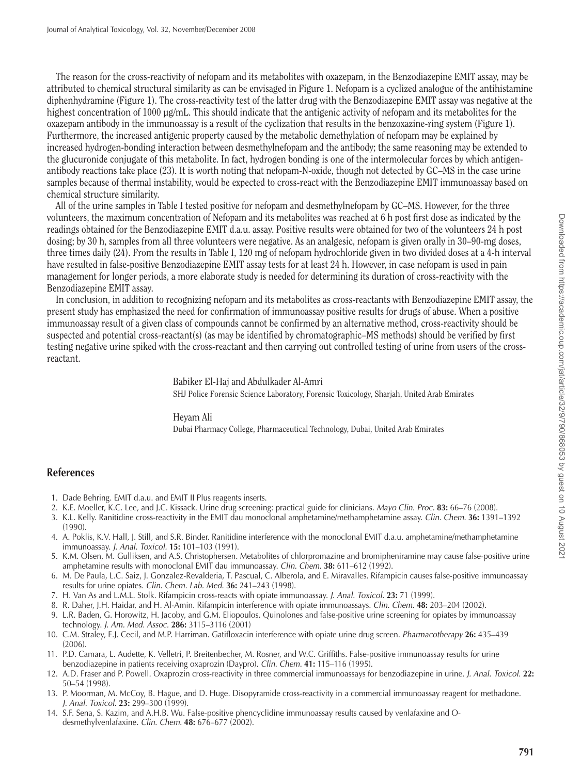The reason for the cross-reactivity of nefopam and its metabolites with oxazepam, in the Benzodiazepine EMIT assay, may be attributed to chemical structural similarity as can be envisaged in Figure 1. Nefopam is a cyclized analogue of the antihistamine diphenhydramine (Figure 1). The cross-reactivity test of the latter drug with the Benzodiazepine EMIT assay was negative at the highest concentration of 1000 µg/mL. This should indicate that the antigenic activity of nefopam and its metabolites for the oxazepam antibody in the immunoassay is a result of the cyclization that results in the benzoxazine-ring system (Figure 1). Furthermore, the increased antigenic property caused by the metabolic demethylation of nefopam may be explained by increased hydrogen-bonding interaction between desmethylnefopam and the antibody; the same reasoning may be extended to the glucuronide conjugate of this metabolite. In fact, hydrogen bonding is one of the intermolecular forces by which antigenantibody reactions take place (23). It is worth noting that nefopam-N-oxide, though not detected by GC–MS in the case urine samples because of thermal instability, would be expected to cross-react with the Benzodiazepine EMIT immunoassay based on chemical structure similarity.

All of the urine samples in Table I tested positive for nefopam and desmethylnefopam by GC–MS. However, for the three volunteers, the maximum concentration of Nefopam and its metabolites was reached at 6 h post first dose as indicated by the readings obtained for the Benzodiazepine EMIT d.a.u. assay. Positive results were obtained for two of the volunteers 24 h post dosing; by 30 h, samples from all three volunteers were negative. As an analgesic, nefopam is given orally in 30–90-mg doses, three times daily (24). From the results in Table I, 120 mg of nefopam hydrochloride given in two divided doses at a 4-h interval have resulted in false-positive Benzodiazepine EMIT assay tests for at least 24 h. However, in case nefopam is used in pain management for longer periods, a more elaborate study is needed for determining its duration of cross-reactivity with the Benzodiazepine EMIT assay.

In conclusion, in addition to recognizing nefopam and its metabolites as cross-reactants with Benzodiazepine EMIT assay, the present study has emphasized the need for confirmation of immunoassay positive results for drugs of abuse. When a positive immunoassay result of a given class of compounds cannot be confirmed by an alternative method, cross-reactivity should be suspected and potential cross-reactant(s) (as may be identified by chromatographic–MS methods) should be verified by first testing negative urine spiked with the cross-reactant and then carrying out controlled testing of urine from users of the crossreactant.

> Babiker El-Haj and Abdulkader Al-Amri SHJ Police Forensic Science Laboratory, Forensic Toxicology, Sharjah, United Arab Emirates

Heyam Ali Dubai Pharmacy College, Pharmaceutical Technology, Dubai, United Arab Emirates

## **References**

- 1. Dade Behring. EMIT d.a.u. and EMIT II Plus reagents inserts.
- 2. K.E. Moeller, K.C. Lee, and J.C. Kissack. Urine drug screening: practical guide for clinicians. Mayo Clin. Proc. **83:** 66–76 (2008).
- 3. K.L. Kelly. Ranitidine cross-reactivity in the EMIT dau monoclonal amphetamine/methamphetamine assay. Clin. Chem. **36:** 1391–1392 (1990).
- 4. A. Poklis, K.V. Hall, J. Still, and S.R. Binder. Ranitidine interference with the monoclonal EMIT d.a.u. amphetamine/methamphetamine immunoassay. J. Anal. Toxicol. **15:** 101–103 (1991).
- 5. K.M. Olsen, M. Gulliksen, and A.S. Christophersen. Metabolites of chlorpromazine and bromipheniramine may cause false-positive urine amphetamine results with monoclonal EMIT dau immunoassay. Clin. Chem. **38:** 611–612 (1992).
- 6. M. De Paula, L.C. Saiz, J. Gonzalez-Revalderia, T. Pascual, C. Alberola, and E. Miravalles. Rifampicin causes false-positive immunoassay results for urine opiates. Clin. Chem. Lab. Med. **36:** 241–243 (1998).
- 7. H. Van As and L.M.L. Stolk. Rifampicin cross-reacts with opiate immunoassay. J. Anal. Toxicol. **23:** 71 (1999).
- 8. R. Daher, J.H. Haidar, and H. Al-Amin. Rifampicin interference with opiate immunoassays. Clin. Chem. **48:** 203–204 (2002).
- 9. L.R. Baden, G. Horowitz, H. Jacoby, and G.M. Eliopoulos. Quinolones and false-positive urine screening for opiates by immunoassay technology. J. Am. Med. Assoc. **286:** 3115–3116 (2001)
- 10. C.M. Straley, E.J. Cecil, and M.P. Harriman. Gatifloxacin interference with opiate urine drug screen. Pharmacotherapy **26:** 435–439 (2006).
- 11. P.D. Camara, L. Audette, K. Velletri, P. Breitenbecher, M. Rosner, and W.C. Griffiths. False-positive immunoassay results for urine benzodiazepine in patients receiving oxaprozin (Daypro). Clin. Chem. **41:** 115–116 (1995).
- 12. A.D. Fraser and P. Powell. Oxaprozin cross-reactivity in three commercial immunoassays for benzodiazepine in urine. J. Anal. Toxicol. **22:** 50–54 (1998).
- 13. P. Moorman, M. McCoy, B. Hague, and D. Huge. Disopyramide cross-reactivity in a commercial immunoassay reagent for methadone. J. Anal. Toxicol. **23:** 299–300 (1999).
- 14. S.F. Sena, S. Kazim, and A.H.B. Wu. False-positive phencyclidine immunoassay results caused by venlafaxine and Odesmethylvenlafaxine. Clin. Chem. **48:** 676–677 (2002).